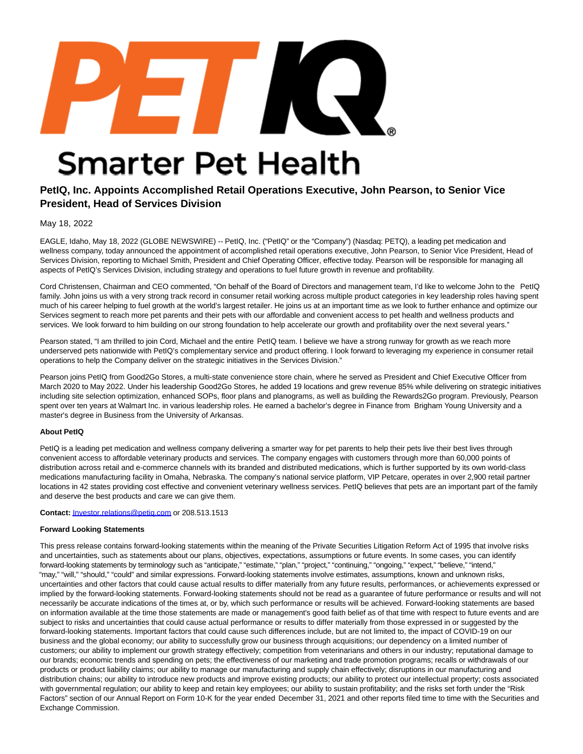

## **Smarter Pet Health**

## **PetIQ, Inc. Appoints Accomplished Retail Operations Executive, John Pearson, to Senior Vice President, Head of Services Division**

May 18, 2022

EAGLE, Idaho, May 18, 2022 (GLOBE NEWSWIRE) -- PetIQ, Inc. ("PetIQ" or the "Company") (Nasdaq: PETQ), a leading pet medication and wellness company, today announced the appointment of accomplished retail operations executive, John Pearson, to Senior Vice President, Head of Services Division, reporting to Michael Smith, President and Chief Operating Officer, effective today. Pearson will be responsible for managing all aspects of PetIQ's Services Division, including strategy and operations to fuel future growth in revenue and profitability.

Cord Christensen, Chairman and CEO commented, "On behalf of the Board of Directors and management team, I'd like to welcome John to the PetIQ family. John joins us with a very strong track record in consumer retail working across multiple product categories in key leadership roles having spent much of his career helping to fuel growth at the world's largest retailer. He joins us at an important time as we look to further enhance and optimize our Services segment to reach more pet parents and their pets with our affordable and convenient access to pet health and wellness products and services. We look forward to him building on our strong foundation to help accelerate our growth and profitability over the next several years."

Pearson stated, "I am thrilled to join Cord, Michael and the entire PetIQ team. I believe we have a strong runway for growth as we reach more underserved pets nationwide with PetIQ's complementary service and product offering. I look forward to leveraging my experience in consumer retail operations to help the Company deliver on the strategic initiatives in the Services Division."

Pearson joins PetIQ from Good2Go Stores, a multi-state convenience store chain, where he served as President and Chief Executive Officer from March 2020 to May 2022. Under his leadership Good2Go Stores, he added 19 locations and grew revenue 85% while delivering on strategic initiatives including site selection optimization, enhanced SOPs, floor plans and planograms, as well as building the Rewards2Go program. Previously, Pearson spent over ten years at Walmart Inc. in various leadership roles. He earned a bachelor's degree in Finance from Brigham Young University and a master's degree in Business from the University of Arkansas.

## **About PetIQ**

PetIQ is a leading pet medication and wellness company delivering a smarter way for pet parents to help their pets live their best lives through convenient access to affordable veterinary products and services. The company engages with customers through more than 60,000 points of distribution across retail and e-commerce channels with its branded and distributed medications, which is further supported by its own world-class medications manufacturing facility in Omaha, Nebraska. The company's national service platform, VIP Petcare, operates in over 2,900 retail partner locations in 42 states providing cost effective and convenient veterinary wellness services. PetIQ believes that pets are an important part of the family and deserve the best products and care we can give them.

**Contact:** [Investor.relations@petiq.com o](mailto:Investor.relations@petiq.com)r 208.513.1513

## **Forward Looking Statements**

This press release contains forward-looking statements within the meaning of the Private Securities Litigation Reform Act of 1995 that involve risks and uncertainties, such as statements about our plans, objectives, expectations, assumptions or future events. In some cases, you can identify forward-looking statements by terminology such as "anticipate," "estimate," "plan," "project," "continuing," "ongoing," "expect," "believe," "intend," "may," "will," "should," "could" and similar expressions. Forward-looking statements involve estimates, assumptions, known and unknown risks, uncertainties and other factors that could cause actual results to differ materially from any future results, performances, or achievements expressed or implied by the forward-looking statements. Forward-looking statements should not be read as a guarantee of future performance or results and will not necessarily be accurate indications of the times at, or by, which such performance or results will be achieved. Forward-looking statements are based on information available at the time those statements are made or management's good faith belief as of that time with respect to future events and are subject to risks and uncertainties that could cause actual performance or results to differ materially from those expressed in or suggested by the forward-looking statements. Important factors that could cause such differences include, but are not limited to, the impact of COVID-19 on our business and the global economy; our ability to successfully grow our business through acquisitions; our dependency on a limited number of customers; our ability to implement our growth strategy effectively; competition from veterinarians and others in our industry; reputational damage to our brands; economic trends and spending on pets; the effectiveness of our marketing and trade promotion programs; recalls or withdrawals of our products or product liability claims; our ability to manage our manufacturing and supply chain effectively; disruptions in our manufacturing and distribution chains; our ability to introduce new products and improve existing products; our ability to protect our intellectual property; costs associated with governmental regulation; our ability to keep and retain key employees; our ability to sustain profitability; and the risks set forth under the "Risk Factors" section of our Annual Report on Form 10-K for the year ended December 31, 2021 and other reports filed time to time with the Securities and Exchange Commission.